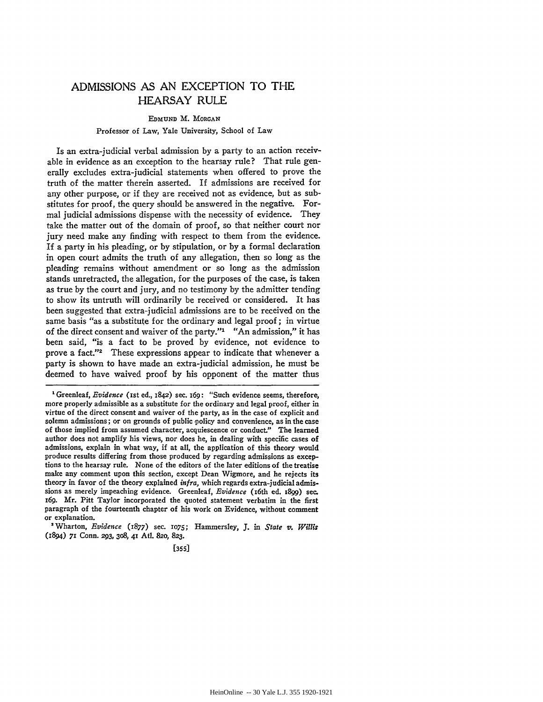## ADMISSIONS AS AN EXCEPTION TO THE HEARSAY RULE

## EDMUND M. MoRGAN

## Professor of Law, Yale University, School of Law

Is an extra-judicial verbal admission by a party to an action receivable in evidence as an exception to the hearsay rule? That rule generally excludes extra-judicial statements when offered to prove the truth of the matter therein asserted. If admissions are received for any other purpose, or if they are received not as evidence, but as substitutes for proof, the query should be answered in the negative. Formal judicial admissions dispense with the necessity of evidence. They take the matter out of the domain of proof, so that neither court nor jury need make any finding with respect to them from the evidence. If a party in his pleading, or by stipulation, or by a formal declaration in open court admits the truth of any allegation, then so long as the pleading remains without amendment or so long as the admission stands unretracted, the allegation, for the purposes of the case, is taken as true by the court and jury, and no testimony by the admitter tending to show its untruth will ordinarily be received or considered. It has been suggested that extra-judicial admissions are to be received on the same basis "as a substitute for the ordinary and legal proof; in virtue of the direct consent and waiver of the party."1 "An admission," it has been said, "is a fact to be proved by evidence, not evidence to prove a fact."<sup>2</sup> These expressions appear to indicate that whenever a party is shown to have made an extra-judicial admission, he must be deemed to have waived proof by his opponent of the matter thus

• Wharton, *Evidence* (1877) sec. 1075; Hammersley, J. in *State v. Willis*  (rSg.J) 7I Conn. 293, 3o8, 41 At!. 82o, 823.

[355]

<sup>&</sup>lt;sup>1</sup> Greenleaf, *Evidence* (1st ed., 1842) sec. 169: "Such evidence seems, therefore, more properly admissible as a substitute for the ordinary and legal proof, either in virtue of the direct consent and waiver of the party, as in the case of explicit and solemn admissions; or on grounds of public policy and convenience, as in the case of those implied from assumed character, acquiescence or conduct." The learned author does not amplify his views, nor does he, in dealing with specific cases of admissions, explain in what way, if at all, the application of this theory would produce results differing from those produced by regarding admissions as exceptions to the hearsay rule. None of the editors of the later editions of the treatise make any comment upon this section, except Dean Wigmore, and he rejects its theory in favor of the theory explained *infra,* which regards extra-judicial admissions as merely impeaching evidence. Greenleaf, *Evidence* (r6th ed. r8gg) sec. 169. Mr. Pitt Taylor incorporated the quoted statement verbatim in the first paragraph of the fourteenth chapter of his work on Evidence, without comment or explanation.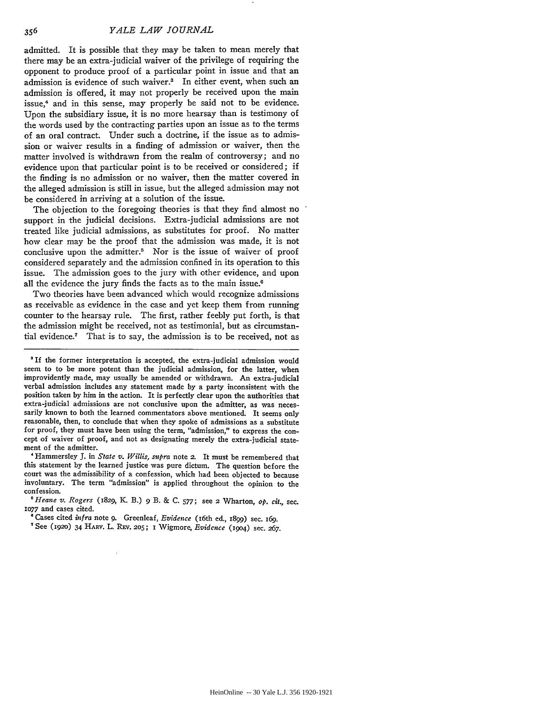admitted. It is possible that they may be taken to mean merely that there may be an extra-judicial waiver of the privilege of requiring the opponent to produce proof of a particular point in issue and that an admission is evidence of such waiver.<sup>3</sup> In either event, when such an admission is offered, it may not properly be received upon the main issue,<sup>4</sup> and in this sense, may properly be said not to be evidence. Upon the subsidiary issue, it is no more hearsay than is testimony of the words used **by** the contracting parties upon an issue as to the terms of an oral contract. Under such a doctrine, if the issue as to admission or waiver results in a finding of admission or waiver, then the matter involved is withdrawn from the realm of controversy; and no evidence upon that particular point is to be received or considered; if the finding is no admission or no waiver, then the matter covered in the alleged admission is still in issue, but the alleged admission may not be considered in arriving at a solution of the issue.

The objection to the foregoing theories is that they find almost no support in the judicial decisions. Extra-judicial admissions are not treated like judicial admissions, as substitutes for proof. No matter how clear may be the proof that the admission was made, it is not conclusive upon the admitter.5 Nor is the issue of waiver of proof considered separately and the admission confined in its operation to this issue. The admission goes to the jury with other evidence, and upon all the evidence the jury finds the facts as to the main issue.<sup>6</sup>

Two theories have been advanced which would recognize admissions as receivable as evidence in the case and yet keep them from running counter to the hearsay rule. The first, rather feebly put forth, is that the admission might be received, not as testimonial, but as circumstantial evidence.7 That is to say, the admission is to be received, not as

'Hammersley **J.** in *State v. Willis, supra* note **2.** It must be remembered that this statement **by** the learned justice was pure dictum. The question before the court was the admissibility of a confession, which had been objected to because involuntary. The term "admission" is applied throughout the opinion to the confession.

*5Heane v. Rogers* (1829, **K.** B.) 9 B. & **C.** *577;* see 2 Wharton, *op. cit.,* sec. **7o77** and cases cited.

**'** Cases cited *infra* note **9.** Greenleaf, *Evidence* (i6th ed., 1899) sec. *i69.*

'See (920) 34 **HARv.** L. REv. **205; I** Wigmore, *Evidence* (19o4) sec. **267.**

356

**<sup>&#</sup>x27;If** the former interpretation is accepted, the extra-judicial admission would seem to to be more potent than the judicial admission, for the latter, when improvidently made, may usually be amended or withdrawn. An extra-judicial verbal admission includes any statement made by a party inconsistent with the position taken by him in the action. It is perfectly clear upon the authorities that extra-judicial admissions are not conclusive upon the admitter, as was necessarily known to both the learned commentators above mentioned. It seems only reasonable, then, to conclude that when they spoke of admissions as a substitute for proof, they must have been using the term, "admission," to express the concept of waiver of proof, and not as designating merely the extra-judicial statement of the admitter.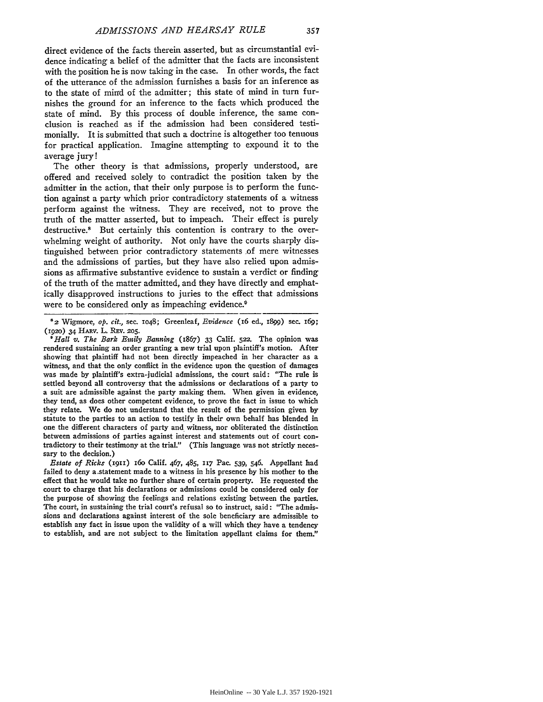357

direct evidence of the facts therein asserted, but as circumstantial evidence indicating a belief of the admitter that the facts are inconsistent with the position he is now taking in the case. In other words, the fact of the utterance of the admission furnishes a basis for an inference as to the state of mirrd of the admitter; this state of mind in turn furnishes the ground for an inference to the facts which produced the state of mind. By this process of double inference, the same conclusion is reached as if the admission had been considered testimonially. It is submitted that such a doctrine is altogether too tenuous for practical application. Imagine attempting to expound it to the average jury!

The other theory is that admissions, properly understood, are offered and received solely to contradict the position taken by the admitter in the action, that their only purpose is to perform the function against a party which prior contradictory statements of a witness perform against the witness. They are received, not to prove the truth of the matter asserted, but to impeach. Their effect is purely destructive.<sup>8</sup> But certainly this contention is contrary to the overwhelming weight of authority. Not only have the courts sharply distinguished between prior contradictory statements of mere witnesses and the admissions of parties, but they have also relied upon admissions as affirmative substantive evidence to sustain a verdict or finding of the truth of the matter admitted, and they have directly and emphatically disapproved instructions to juries to the effect that admissions were to be considered only as impeaching evidence.<sup>9</sup>

*9Hall v. The Bark Emily Banning* (1867) 33 Calif. **522.** The opinion was rendered sustaining an order granting a new trial upon plaintiff's motion. After showing that plaintiff had not been directly impeached in her character as a witness, and that the only conflict in the evidence upon the question of damages was made by plaintiff's extra-judicial admissions, the court said: "The rule is settled beyond all controversy that the admissions or declarations of a party to a suit are admissible against the party making them. When given in evidence, they tend, as does other competent evidence, to prove the fact in issue to which they relate. We do not understand that the result of the permission given by statute to the parties to an action to testify in their own behalf has blended in one the different characters of party and witness, nor obliterated the distinction between admissions of parties against interest and statements out of court contradictory to their testimony at the trial." (This language was not strictly necessary to the decision.)

*Estate of Ricks* (1g9i) i6o Calif. 467, 485, **117 Pac.** 539, 546. Appellant had failed to deny a.statement made to a witness in his presence by his mother to the effect that he would take no further share of certain property. He requested the court to charge that his declarations or admissions could be considered only for the purpose of showing the feelings and relations existing between the parties. The court, in sustaining the trial court's refusal so to instruct, said: "The admissions and declarations against interest of the sole beneficiary are admissible to establish any fact in issue upon the validity of a will which they have a tendency to establish, and are not subject to the limitation appellant claims for them."

*<sup>82</sup>* Wigmore, op. cit., sec. **1048;** Greenleaf, *Evidence* (16 ed., 1899) sec. i69; (1920) 34 HARV. L. **REv. 2o5.**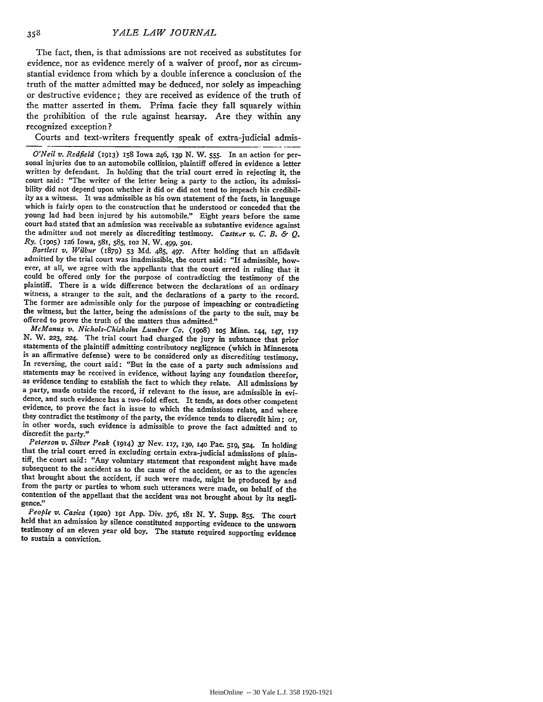The fact, then, is that admissions are not received as substitutes for evidence, nor as evidence merely of a waiver of proof, nor as circumstantial evidence from which by a double inference a conclusion of the truth of the matter admitted may be deduced, nor solely as impeaching or destructive evidence; they are received as evidence of the truth of the matter asserted in them. Prima facie they fall squarely within the prohibition of the rule against hearsay. Are they within any recognized exception?

Courts and text-writers frequently speak of extra-judicial admis-

*Bartlett v. Wilbur* (1879) 53 Md. 485, 497. After holding that an affidavit admitted by the trial court was inadmissible, the court said: "If admissible, however, at all, we agree with the appellants that the court erred in ruling that it could be offered only for the purpose of contradicting the testimony of the plaintiff. There is a wide difference between the declarations of an ordinary witness, a stranger to the suit, and the declarations of a party to 'the record. The former are admissible only for the purpose of impeaching or contradicting the witness, but the latter, being the admissions of the party to the suit, may be offered to prove the truth of the matters thus admitted."

*McManus v. Nichols-Chisholm Lumber Co.* (19o8) **lO5** Minn. 144, 147, **<sup>117</sup>** N. W. **223,** 224. The trial court had charged the jury in substance that prior statements of the plaintiff admitting contributory negligence (which in Minnesota is an affirmative defense) were to be considered only as discrediting testimony. In reversing, the court said: "But in the case of a party such admissions and as evidence tending to establish the fact to which they relate. All admissions by a party, made outside the record, if relevant to the issue, are admissible in evidence, and such evidence has a two-fold effect. It tends, as does other competent evidence, to prove the fact in issue to which the admissions relate, and where they contradict the testimony of the party, the evidence tends to discredit him; or, in other words, such evidence is admissible to prove the fact admitted and to discredit the party."

*Peterson v. Silver Peak* (1914) *37* Nev. 117, I3O, 14o Pac. **Sig,** 524. In holding that the trial court erred in excluding certain extra-judicial admissions of plain-<br>tiff, the court said: "Any voluntary statement that respondent might have made subsequent to the accident as to the cause of the accident, or as to the agencies that brought about the accident, if such were made, might be produced by and from the party or parties to whom such utterances were made, on behalf. of the contention of the appellant that the accident was not brought about by its negligence."

*People v. Casica* (192o) **Igi** App. Div. *376,* 18I *N.* Y. Supp. **855.** The court held that an admission by silence constituted supporting evidence to the unsworn testimony of an eleven year old boy. The statute required supporting evidence to sustain a conviction.

358

*O'Neil v. Redfield* (1913) 158 Iowa 246, 139 N. W. 555. In an action for per-sonal injuries due to an automobile collision, plaintiff offered in evidence a letter written by defendant. In holding that the trial court erred in rejecting it, the court said: "The writer of the letter being a party to the action, its admissibility did not depend upon whether it did or did not tend to impeach his credibility as a witness. It was admissible as his own statement of the facts, in language which is fairly open to the construction that he understood or conceded that the court had stated that an admission was receivable as substantive evidence against the admitter and not merely as discrediting testimony. *Castrer v. C. B. & Q. Ry.* **(1905) 126** Iowa, 58I, 585, IO2 N. W. *499,* **5O.**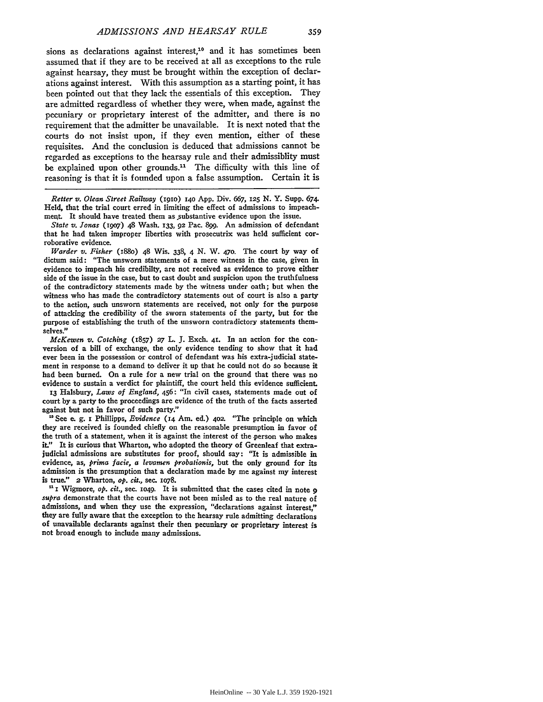sions as declarations against interest,<sup>10</sup> and it has sometimes been assumed that if they are to be received at all as exceptions to the rule against hearsay, they must be brought within the exception of declarations against interest. With this assumption as a starting point, it has been pointed out that they lack the essentials of this exception. They are admitted regardless of whether they were, when made, against the pecuniary or proprietary interest of the admitter, and there is no requirement that the admitter be unavailable. It is next noted that the courts do not insist upon, if they even mention, either of these requisites. **And** the conclusion is deduced that admissions cannot be regarded as exceptions to the hearsay rule and their admissiblity must be explained upon other grounds.<sup>11</sup> The difficulty with this line of reasoning is that it is founded upon a false assumption. Certain it is

*Retter v. Olean Street Railway* (i9o) **14o** App. Div. 667, 125 **N.** Y. Supp. 674. Held, that the trial court erred in limiting the effect of admissions to impeachment. It should have treated them as substantive evidence upon the issue.

*State v. Jonas* (i9o7) 48 Wash. **133, 92** Pac. 8g. An admission of defendant that he had taken improper liberties with prosecutrix was held sufficient corroborative evidence.

*Warder v. Fisher* (i88o) 48 Wis. **338,** 4 *N.* W. **47o.** The court **by** way of dictum said: "The unsworn statements of a mere witness in the case, given in evidence to impeach his credibilty, are not received as evidence to prove either side of the issue in the case, but to cast doubt and suspicion upon the truthfulness of the contradictory statements made **by** the witness under oath; but when the witness who has made the contradictory statements out of court is also a party to the action, such unsworn statements are received, not only for the purpose of attacking the credibility of the sworn statements of the party, but for the purpose of establishing the truth of the unsworn contradictory statements themselves."

*McKewen v. Cotching* (1857) *27* L. **J.** Exch. **41.** In an action for the conversion of a bill of exchange, the only evidence tending to show that it had ever been in the possession or control of defendant was his extra-judicial statement in response to a demand to deliver it up that he could not do so because it had been burned. On a rule for a new trial on the ground that there was no evidence to sustain a verdict for plaintiff, the court held this evidence sufficient.

**13** Halsbury, *Laws of England,* 456: "In civil cases, statements made out of court **by** a party to the proceedings are evidence of the truth of the facts asserted against but not in favor of such party."

"See e **g.** i Phillipps, *Evidence* **(14** Am. ed.) **402.** "The principle on which they are received is founded chiefly on the reasonable presumption in favor of the truth of a statement, when it is against the interest of the person who makes it." It is curious that Wharton, who adopted the theory of Greenleaf that **extra**judicial admissions are substitutes for proof, should say: "It is admissible in evidence, as, *prima facie, a levamen probationis,* but the only ground for its admission is the presumption that a declaration made **by** me against my interest is true."  $2$  Wharton,  $\varphi$ ,  $\varphi$  *cit.*, sec. 1078.<br><sup>11</sup> I Wigmore,  $\varphi$ , *cit.*, sec. 1049. It is submitted that the cases cited in note **9** 

*supra* demonstrate that the courts have not been misled as to the real nature of admissions, and when they use the expression, "declarations against interest," they are fully aware that the exception to the hearsay rule admitting declarations of unavailable declarants against their then pecuniary or proprietary interest is not broad enough to include many admissions.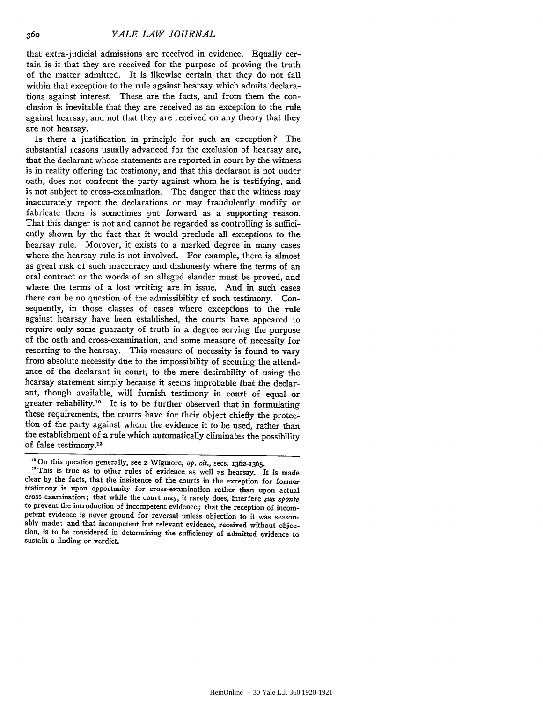that extra-judicial admissions are received in evidence. Equally certain is it that they are received for the purpose of proving the truth of the matter admitted. It is likewise certain that they do not fall within that exception to the rule against hearsay which admits declarations against interest. These are the facts, and from them the conclusion is inevitable that they are received as an exception to the rule against hearsay, and not that they are received on any theory that they are not hearsay.

Is there a justification in principle for such an exception? The substantial reasons usually advanced for the exclusion of hearsay are, that the declarant whose statements are reported in court by the witness is in reality offering the testimony, and that this declarant is not under oath, does not confront the party against whom he is testifying, and is not subject to cross-examination. The danger that the witness may inaccurately report the declarations or may fraudulently modify or fabricate them is sometimes put forward as a supporting reason. That this danger is not and cannot be regarded as controlling is sufficiently shown by the fact that it would preclude all exceptions to the hearsay rule. Morover, it exists to a marked degree in many cases where the hearsay rule is not involved. For example, there is almost as great risk of such inaccuracy and dishonesty where the terms of an oral contract or the words of an alleged slander must be proved, and where the terms of a lost writing are in issue. And in such cases there can be no question of the admissibility of such testimony. Consequently, in those classes of cases where exceptions to the rule against hearsay have been established, the courts have appeared to require only some guaranty of truth in a degree serving the purpose of the oath and cross-examination, and some measure of necessity for resorting to the hearsay. This measure of necessity is found to vary from absolute necessity due to the impossibility of securing the attendance of the declarant in court, to the mere desirability of using the hearsay statement simply because it seems improbable that the declarant, though available, will furnish testimony in court of equal or greater reliability.<sup>12</sup> It is to be further observed that in formulating these requirements, the courts have for their object chiefly the protection of the party against whom the evidence it to be used, rather than the establishment of a rule which automatically eliminates the possibility of false testimony.'3

<sup>&</sup>lt;sup>12</sup> On this question generally, see 2 Wigmore, *op. cit.*, secs. 1362-1365.

<sup>&</sup>lt;sup>13</sup> This is true as to other rules of evidence as well as hearsay. It is made clear by the facts, that the insistence of the courts in the exception for former testimony is upon opportunity for cross-examination rather than upon actual cross-examination; that while the court may, it rarely does, interfere *Sua sponte* to prevent the introduction of incompetent evidence; that the reception of incompetent evidence is never ground for reversal unless objection to it was season-<br>ably made; and that incompetent but relevant evidence, received without objection, is to be considered in determining the sufficiency of admitted evidence to sustain a finding or verdict.